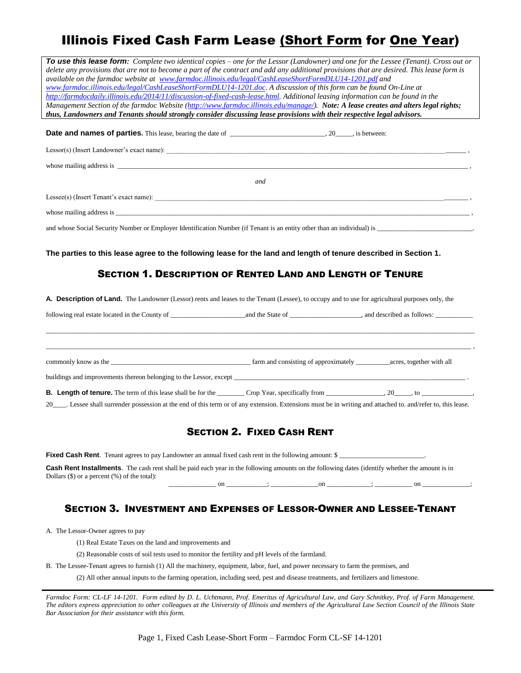# Illinois Fixed Cash Farm Lease (Short Form for One Year)

| To use this lease form: Complete two identical copies – one for the Lessor (Landowner) and one for the Lessee (Tenant). Cross out or                                                                                                                                    |     |  |  |  |
|-------------------------------------------------------------------------------------------------------------------------------------------------------------------------------------------------------------------------------------------------------------------------|-----|--|--|--|
| delete any provisions that are not to become a part of the contract and add any additional provisions that are desired. This lease form is                                                                                                                              |     |  |  |  |
| available on the farmdoc website at www.farmdoc.illinois.edu/legal/CashLeaseShortFormDLU14-1201.pdf and                                                                                                                                                                 |     |  |  |  |
| www.farmdoc.illinois.edu/legal/CashLeaseShortFormDLU14-1201.doc. A discussion of this form can be found On-Line at                                                                                                                                                      |     |  |  |  |
| http://farmdocdaily.illinois.edu/2014/11/discussion-of-fixed-cash-lease.html. Additional leasing information can be found in the<br>Management Section of the farmdoc Website (http://www.farmdoc.illinois.edu/manage/). Note: A lease creates and alters legal rights; |     |  |  |  |
| thus, Landowners and Tenants should strongly consider discussing lease provisions with their respective legal advisors.                                                                                                                                                 |     |  |  |  |
|                                                                                                                                                                                                                                                                         |     |  |  |  |
|                                                                                                                                                                                                                                                                         |     |  |  |  |
|                                                                                                                                                                                                                                                                         |     |  |  |  |
|                                                                                                                                                                                                                                                                         |     |  |  |  |
|                                                                                                                                                                                                                                                                         | and |  |  |  |
|                                                                                                                                                                                                                                                                         |     |  |  |  |
| whose mailing address is expected to the contract of the contract of the contract of the contract of the contract of the contract of the contract of the contract of the contract of the contract of the contract of the contr                                          |     |  |  |  |
|                                                                                                                                                                                                                                                                         |     |  |  |  |
| The parties to this lease agree to the following lease for the land and length of tenure described in Section 1.<br><b>SECTION 1. DESCRIPTION OF RENTED LAND AND LENGTH OF TENURE</b>                                                                                   |     |  |  |  |
| A. Description of Land. The Landowner (Lessor) rents and leases to the Tenant (Lessee), to occupy and to use for agricultural purposes only, the                                                                                                                        |     |  |  |  |
|                                                                                                                                                                                                                                                                         |     |  |  |  |
| commonly know as the subsequence of a provided a farm and consisting of approximately services, together with all                                                                                                                                                       |     |  |  |  |
|                                                                                                                                                                                                                                                                         |     |  |  |  |
|                                                                                                                                                                                                                                                                         |     |  |  |  |
| 20____. Lessee shall surrender possession at the end of this term or of any extension. Extensions must be in writing and attached to. and/refer to, this lease.                                                                                                         |     |  |  |  |
|                                                                                                                                                                                                                                                                         |     |  |  |  |
|                                                                                                                                                                                                                                                                         |     |  |  |  |

### SECTION 2. FIXED CASH RENT

**Fixed Cash Rent**. Tenant agrees to pay Landowner an annual fixed cash rent in the following amount: \$ **Cash Rent Installments**. The cash rent shall be paid each year in the following amounts on the following dates (identify whether the amount is in Dollars (\$) or a percent (%) of the total): on  $\hspace{2cm}$  on  $\hspace{2cm}$  .  $\hspace{2cm}$  on  $\hspace{2cm}$   $\hspace{2cm}$   $\hspace{2cm}$   $\hspace{2cm}$   $\hspace{2cm}$   $\hspace{2cm}$   $\hspace{2cm}$   $\hspace{2cm}$ 

### SECTION 3. INVESTMENT AND EXPENSES OF LESSOR-OWNER AND LESSEE-TENANT

A. The Lessor-Owner agrees to pay

- (1) Real Estate Taxes on the land and improvements and
- (2) Reasonable costs of soil tests used to monitor the fertility and pH levels of the farmland.
- B. The Lessee-Tenant agrees to furnish (1) All the machinery, equipment, labor, fuel, and power necessary to farm the premises, and

(2) All other annual inputs to the farming operation, including seed, pest and disease treatments, and fertilizers and limestone.

*Farmdoc Form: CL-LF 14-1201. Form edited by D. L. Uchtmann, Prof. Emeritus of Agricultural Law, and Gary Schnitkey, Prof. of Farm Management.*  The editors express appreciation to other colleagues at the University of Illinois and members of the Agricultural Law Section Council of the Illinois State *Bar Association for their assistance with this form.*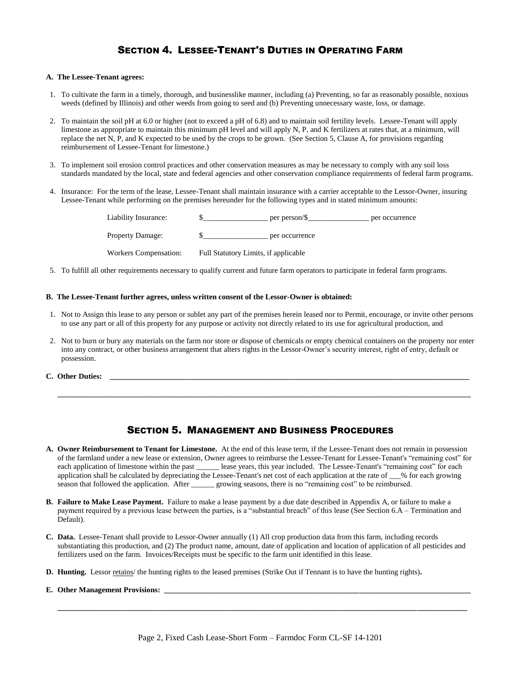### SECTION 4. LESSEE-TENANT'S DUTIES IN OPERATING FARM

#### **A. The Lessee-Tenant agrees:**

- 1. To cultivate the farm in a timely, thorough, and businesslike manner, including (a) Preventing, so far as reasonably possible, noxious weeds (defined by Illinois) and other weeds from going to seed and (b) Preventing unnecessary waste, loss, or damage.
- 2. To maintain the soil pH at 6.0 or higher (not to exceed a pH of 6.8) and to maintain soil fertility levels. Lessee-Tenant will apply limestone as appropriate to maintain this minimum pH level and will apply N, P, and K fertilizers at rates that, at a minimum, will replace the net N, P, and K expected to be used by the crops to be grown. (See Section 5, Clause A, for provisions regarding reimbursement of Lessee-Tenant for limestone.)
- 3. To implement soil erosion control practices and other conservation measures as may be necessary to comply with any soil loss standards mandated by the local, state and federal agencies and other conservation compliance requirements of federal farm programs.
- 4. Insurance: For the term of the lease, Lessee-Tenant shall maintain insurance with a carrier acceptable to the Lessor-Owner, insuring Lessee-Tenant while performing on the premises hereunder for the following types and in stated minimum amounts:

| Liability Insurance:    |                                      | per person/\$  | per occurrence |
|-------------------------|--------------------------------------|----------------|----------------|
| <b>Property Damage:</b> |                                      | per occurrence |                |
| Workers Compensation:   | Full Statutory Limits, if applicable |                |                |

5. To fulfill all other requirements necessary to qualify current and future farm operators to participate in federal farm programs.

#### **B. The Lessee-Tenant further agrees, unless written consent of the Lessor-Owner is obtained:**

- 1. Not to Assign this lease to any person or sublet any part of the premises herein leased nor to Permit, encourage, or invite other persons to use any part or all of this property for any purpose or activity not directly related to its use for agricultural production, and
- 2. Not to burn or bury any materials on the farm nor store or dispose of chemicals or empty chemical containers on the property nor enter into any contract, or other business arrangement that alters rights in the Lessor-Owner's security interest, right of entry, default or possession.

**C.** Other Duties:

### SECTION 5. MANAGEMENT AND BUSINESS PROCEDURES

 **\_\_\_\_\_\_\_\_\_\_\_\_\_\_\_\_\_\_\_\_\_\_\_\_\_\_\_\_\_\_\_\_\_\_\_\_\_\_\_\_\_\_\_\_\_\_\_\_\_\_\_\_\_\_\_\_\_\_\_\_\_\_\_\_\_\_\_\_\_\_\_\_\_\_\_\_\_\_\_\_\_\_\_\_\_\_\_\_\_\_\_\_\_\_\_\_\_\_\_\_\_\_\_\_\_\_\_\_**

- **A. Owner Reimbursement to Tenant for Limestone.** At the end of this lease term, if the Lessee-Tenant does not remain in possession of the farmland under a new lease or extension, Owner agrees to reimburse the Lessee-Tenant for Lessee-Tenant's "remaining cost" for each application of limestone within the past \_\_\_\_\_\_ lease years, this year included. The Lessee-Tenant's "remaining cost" for each application shall be calculated by depreciating the Lessee-Tenant's net cost of each application at the rate of \_\_\_% for each growing season that followed the application. After growing seasons, there is no "remaining cost" to be reimbursed.
- **B. Failure to Make Lease Payment.** Failure to make a lease payment by a due date described in Appendix A, or failure to make a payment required by a previous lease between the parties, is a "substantial breach" of this lease (See Section 6.A – Termination and Default).
- **C. Data.** Lessee-Tenant shall provide to Lessor-Owner annually (1) All crop production data from this farm, including records substantiating this production, and (2) The product name, amount, date of application and location of application of all pesticides and fertilizers used on the farm. Invoices/Receipts must be specific to the farm unit identified in this lease.
- **D. Hunting.** Lessor retains/ the hunting rights to the leased premises (Strike Out if Tennant is to have the hunting rights)**.**

#### **E.** Other Management Provisions:

 **\_\_\_\_\_\_\_\_\_\_\_\_\_\_\_\_\_\_\_\_\_\_\_\_\_\_\_\_\_\_\_\_\_\_\_\_\_\_\_\_\_\_\_\_\_\_\_\_\_\_\_\_\_\_\_\_\_\_\_\_\_\_\_\_\_\_\_\_\_\_\_\_\_\_\_\_\_\_\_\_\_\_\_\_\_\_\_\_\_\_\_\_\_\_\_\_\_\_\_\_\_\_\_\_\_\_\_**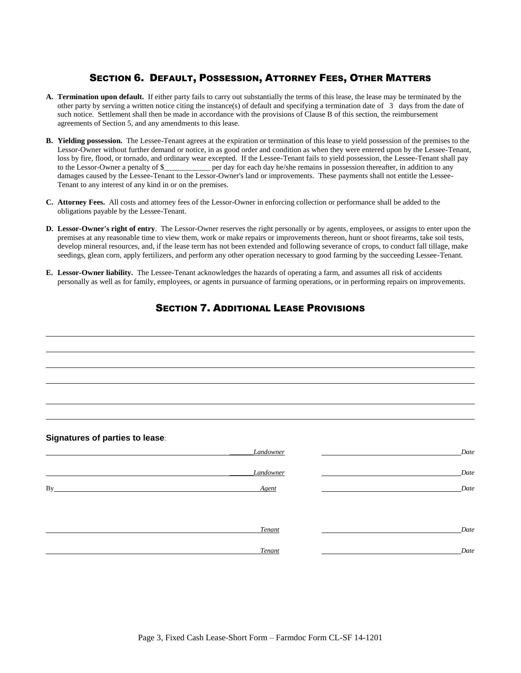### SECTION 6. DEFAULT, POSSESSION, ATTORNEY FEES, OTHER MATTERS

- **A. Termination upon default.** If either party fails to carry out substantially the terms of this lease, the lease may be terminated by the other party by serving a written notice citing the instance(s) of default and specifying a termination date of 3 days from the date of such notice. Settlement shall then be made in accordance with the provisions of Clause B of this section, the reimbursement agreements of Section 5, and any amendments to this lease.
- **B. Yielding possession.** The Lessee-Tenant agrees at the expiration or termination of this lease to yield possession of the premises to the Lessor-Owner without further demand or notice, in as good order and condition as when they were entered upon by the Lessee-Tenant, loss by fire, flood, or tornado, and ordinary wear excepted. If the Lessee-Tenant fails to yield possession, the Lessee-Tenant shall pay to the Lessor-Owner a penalty of  $\frac{S_{\text{max}}}{S_{\text{max}}}$  per day for each day he/she rem er day for each day he/she remains in possession thereafter, in addition to any damages caused by the Lessee-Tenant to the Lessor-Owner's land or improvements. These payments shall not entitle the Lessee-Tenant to any interest of any kind in or on the premises.
- **C. Attorney Fees.** All costs and attorney fees of the Lessor-Owner in enforcing collection or performance shall be added to the obligations payable by the Lessee-Tenant.
- **D. Lessor-Owner's right of entry**. The Lessor-Owner reserves the right personally or by agents, employees, or assigns to enter upon the premises at any reasonable time to view them, work or make repairs or improvements thereon, hunt or shoot firearms, take soil tests, develop mineral resources, and, if the lease term has not been extended and following severance of crops, to conduct fall tillage, make seedings, glean corn, apply fertilizers, and perform any other operation necessary to good farming by the succeeding Lessee-Tenant.
- **E. Lessor-Owner liability.** The Lessee-Tenant acknowledges the hazards of operating a farm, and assumes all risk of accidents personally as well as for family, employees, or agents in pursuance of farming operations, or in performing repairs on improvements.

## SECTION 7. ADDITIONAL LEASE PROVISIONS

#### **Signatures of parties to lease**:

|    | Landowner | Date |
|----|-----------|------|
|    | Landowner | Date |
| By | Agent     | Date |
|    |           |      |
|    | Tenant    | Date |
|    | Tenant    | Date |